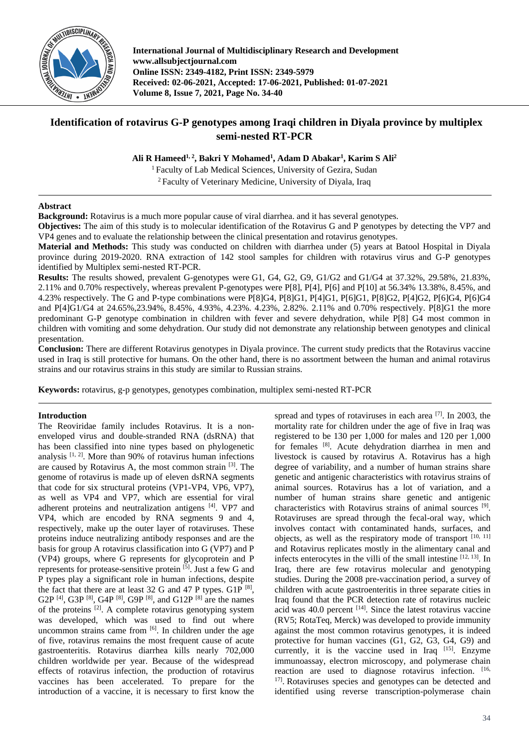

**International Journal of Multidisciplinary Research and Development www.allsubjectjournal.com Online ISSN: 2349-4182, Print ISSN: 2349-5979 Received: 02-06-2021, Accepted: 17-06-2021, Published: 01-07-2021 Volume 8, Issue 7, 2021, Page No. 34-40**

# **Identification of rotavirus G-P genotypes among Iraqi children in Diyala province by multiplex semi-nested RT-PCR**

**Ali R Hameed1, <sup>2</sup> , Bakri Y Mohamed<sup>1</sup> , Adam D Abakar<sup>1</sup> , Karim S Ali<sup>2</sup>**

<sup>1</sup> Faculty of Lab Medical Sciences, University of Gezira, Sudan <sup>2</sup> Faculty of Veterinary Medicine, University of Diyala, Iraq

# **Abstract**

**Background:** Rotavirus is a much more popular cause of viral diarrhea. and it has several genotypes.

**Objectives:** The aim of this study is to molecular identification of the Rotavirus G and P genotypes by detecting the VP7 and VP4 genes and to evaluate the relationship between the clinical presentation and rotavirus genotypes.

**Material and Methods:** This study was conducted on children with diarrhea under (5) years at Batool Hospital in Diyala province during 2019-2020. RNA extraction of 142 stool samples for children with rotavirus virus and G-P genotypes identified by Multiplex semi-nested RT-PCR.

**Results:** The results showed, prevalent G-genotypes were G1, G4, G2, G9, G1/G2 and G1/G4 at 37.32%, 29.58%, 21.83%, 2.11% and 0.70% respectively, whereas prevalent P-genotypes were P[8], P[4], P[6] and P[10] at 56.34% 13.38%, 8.45%, and 4.23% respectively. The G and P-type combinations were P[8]G4, P[8]G1, P[4]G1, P[6]G1, P[8]G2, P[4]G2, P[6]G4, P[6]G4 and P[4]G1/G4 at 24.65%,23.94%, 8.45%, 4.93%, 4.23%. 4.23%, 2.82%. 2.11% and 0.70% respectively. P[8]G1 the more predominant G-P genotype combination in children with fever and severe dehydration, while P[8] G4 most common in children with vomiting and some dehydration. Our study did not demonstrate any relationship between genotypes and clinical presentation.

**Conclusion:** There are different Rotavirus genotypes in Diyala province. The current study predicts that the Rotavirus vaccine used in Iraq is still protective for humans. On the other hand, there is no assortment between the human and animal rotavirus strains and our rotavirus strains in this study are similar to Russian strains.

**Keywords:** rotavirus, g-p genotypes, genotypes combination, multiplex semi-nested RT-PCR

## **Introduction**

The Reoviridae family includes Rotavirus. It is a nonenveloped virus and double-stranded RNA (dsRNA) that has been classified into nine types based on phylogenetic analysis  $[1, 2]$ . More than 90% of rotavirus human infections are caused by Rotavirus A, the most common strain [3]. The genome of rotavirus is made up of eleven dsRNA segments that code for six structural proteins (VP1-VP4, VP6, VP7), as well as VP4 and VP7, which are essential for viral adherent proteins and neutralization antigens [4]. VP7 and VP4, which are encoded by RNA segments 9 and 4, respectively, make up the outer layer of rotaviruses. These proteins induce neutralizing antibody responses and are the basis for group A rotavirus classification into G (VP7) and P (VP4) groups, where G represents for glycoprotein and P represents for protease-sensitive protein [5]. Just a few G and P types play a significant role in human infections, despite the fact that there are at least 32 G and 47 P types. G1P  $[8]$ , G2P <sup>[4]</sup>, G3P <sup>[8]</sup>, G4P <sup>[8]</sup>, G9P <sup>[8]</sup>, and G12P <sup>[8]</sup> are the names of the proteins [2]. A complete rotavirus genotyping system was developed, which was used to find out where uncommon strains came from  $[6]$ . In children under the age of five, rotavirus remains the most frequent cause of acute gastroenteritis. Rotavirus diarrhea kills nearly 702,000 children worldwide per year. Because of the widespread effects of rotavirus infection, the production of rotavirus vaccines has been accelerated. To prepare for the introduction of a vaccine, it is necessary to first know the

spread and types of rotaviruses in each area  $[7]$ . In 2003, the mortality rate for children under the age of five in Iraq was registered to be 130 per 1,000 for males and 120 per 1,000 for females [8]. Acute dehydration diarrhea in men and livestock is caused by rotavirus A. Rotavirus has a high degree of variability, and a number of human strains share genetic and antigenic characteristics with rotavirus strains of animal sources. Rotavirus has a lot of variation, and a number of human strains share genetic and antigenic characteristics with Rotavirus strains of animal sources [9]. Rotaviruses are spread through the fecal-oral way, which involves contact with contaminated hands, surfaces, and objects, as well as the respiratory mode of transport  $[10, 11]$ and Rotavirus replicates mostly in the alimentary canal and infects enterocytes in the villi of the small intestine [12, 13]. In Iraq, there are few rotavirus molecular and genotyping studies. During the 2008 pre-vaccination period, a survey of children with acute gastroenteritis in three separate cities in Iraq found that the PCR detection rate of rotavirus nucleic acid was  $40.0$  percent  $^{[14]}$ . Since the latest rotavirus vaccine (RV5; RotaTeq, Merck) was developed to provide immunity against the most common rotavirus genotypes, it is indeed protective for human vaccines (G1, G2, G3, G4, G9) and currently, it is the vaccine used in Iraq  $[15]$ . Enzyme immunoassay, electron microscopy, and polymerase chain reaction are used to diagnose rotavirus infection. [16, 17] . Rotaviruses species and genotypes can be detected and identified using reverse transcription-polymerase chain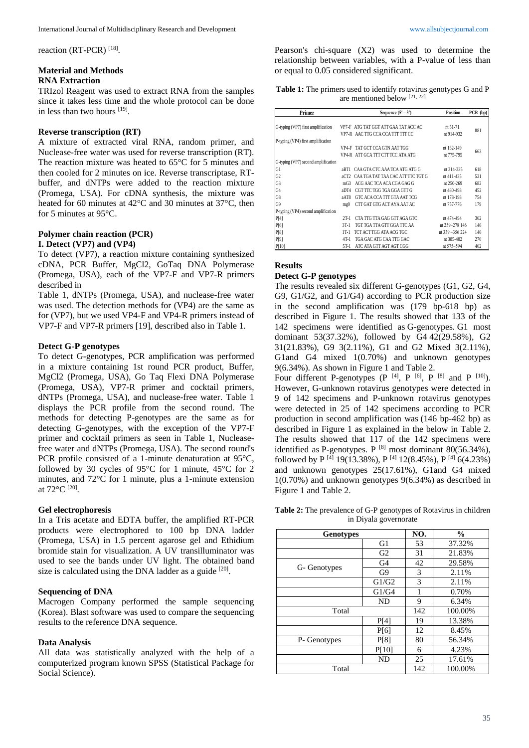reaction (RT-PCR)<sup>[18]</sup>.

## **Material and Methods RNA Extraction**

TRIzol Reagent was used to extract RNA from the samples since it takes less time and the whole protocol can be done in less than two hours [19].

### **Reverse transcription (RT)**

A mixture of extracted viral RNA, random primer, and Nuclease-free water was used for reverse transcription (RT). The reaction mixture was heated to 65°C for 5 minutes and then cooled for 2 minutes on ice. Reverse transcriptase, RTbuffer, and dNTPs were added to the reaction mixture (Promega, USA). For cDNA synthesis, the mixture was heated for 60 minutes at 42°C and 30 minutes at 37°C, then for 5 minutes at 95°C.

#### **Polymer chain reaction (PCR) I. Detect (VP7) and (VP4)**

# To detect (VP7), a reaction mixture containing synthesized cDNA, PCR Buffer, MgCl2, GoTaq DNA Polymerase (Promega, USA), each of the VP7-F and VP7-R primers described in

Table 1, dNTPs (Promega, USA), and nuclease-free water was used. The detection methods for (VP4) are the same as for (VP7), but we used VP4-F and VP4-R primers instead of VP7-F and VP7-R primers [19], described also in Table 1.

## **Detect G-P genotypes**

To detect G-genotypes, PCR amplification was performed in a mixture containing 1st round PCR product, Buffer, MgCl2 (Promega, USA), Go Taq Flexi DNA Polymerase (Promega, USA), VP7-R primer and cocktail primers, dNTPs (Promega, USA), and nuclease-free water. Table 1 displays the PCR profile from the second round. The methods for detecting P-genotypes are the same as for detecting G-genotypes, with the exception of the VP7-F primer and cocktail primers as seen in Table 1, Nucleasefree water and dNTPs (Promega, USA). The second round's PCR profile consisted of a 1-minute denaturation at 95°C, followed by 30 cycles of 95°C for 1 minute, 45°C for 2 minutes, and 72°C for 1 minute, plus a 1-minute extension at 72°C [20] .

### **Gel electrophoresis**

In a Tris acetate and EDTA buffer, the amplified RT-PCR products were electrophored to 100 bp DNA ladder (Promega, USA) in 1.5 percent agarose gel and Ethidium bromide stain for visualization. A UV transilluminator was used to see the bands under UV light. The obtained band size is calculated using the DNA ladder as a guide  $[20]$ .

## **Sequencing of DNA**

Macrogen Company performed the sample sequencing (Korea). Blast software was used to compare the sequencing results to the reference DNA sequence.

### **Data Analysis**

All data was statistically analyzed with the help of a computerized program known SPSS (Statistical Package for Social Science).

Pearson's chi-square (X2) was used to determine the relationship between variables, with a P-value of less than or equal to 0.05 considered significant.

**Table 1:** The primers used to identify rotavirus genotypes G and P are mentioned below [21, 22]

| Primer                              | Sequence $(5' - 3')$                         | Position         | PCR (bp) |
|-------------------------------------|----------------------------------------------|------------------|----------|
|                                     |                                              |                  |          |
| G-typing (VP7) first amplification  | VP7-F ATG TAT GGT ATT GAA TAT ACC AC         | $nt 51-71$       | 881      |
|                                     | VP7-R AAC TTG CCA CCA TTT TTT CC             | nt 914-932       |          |
| P-typing (VP4) first amplification  |                                              |                  |          |
|                                     | VP4-F TAT GCT CCA GTN AAT TGG                | nt 132-149       | 663      |
|                                     | VP4-R ATT GCA TTT CTT TCC ATA ATG            | nt 775-795       |          |
| G-typing (VP7) second amplification |                                              |                  |          |
| G1                                  | CAA GTA CTC AAA TCA ATG ATG G<br>aRT1        | nt 314-335       | 618      |
| G <sub>2</sub>                      | CAA TGA TAT TAA CAC ATT TTC TGT G<br>aCT2    | nt 411-435       | 521      |
| G <sub>3</sub>                      | ACG AAC TCA ACA CGA GAG G<br>mG <sub>3</sub> | nt 250-269       | 682      |
| G <sub>4</sub>                      | CGT TTC TGG TGA GGA GTT G<br>aDT4            | nt 480-498       | 452      |
| G8                                  | GTC ACA CCA TIT GTA AAT TCG<br>aAT8          | nt 178-198       | 754      |
| G9                                  | CTT GAT GTG ACT AYA AAT AC<br>mg9            | nt 757-776       | 179      |
| P-typing (VP4) second amplification |                                              |                  |          |
| P[4]                                | CTA TTG TTA GAG GTT AGA GTC<br>$2T-1$        | nt 474-494       | 362      |
| P[6]                                | TGT TGA TTA GTT GGA TTC AA<br>$3T-1$         | nt 259-278 146   | 146      |
| P[8]                                | TCT ACT TGG ATA ACG TGC<br>$1T-1$            | nt 339 - 356 224 | 146      |
| P[9]                                | TGA GAC ATG CAA TTG GAC<br>$4T-1$            | nt 385-402       | 270      |
| P[10]                               | ATC ATA GTT AGT AGT CGG<br>$5T-1$            | nt 575-594       | 462      |

# **Results**

### **Detect G-P genotypes**

The results revealed six different G-genotypes (G1, G2, G4, G9, G1/G2, and G1/G4) according to PCR production size in the second amplification was (179 bp-618 bp) as described in Figure 1. The results showed that 133 of the 142 specimens were identified as G-genotypes. G1 most dominant 53(37.32%), followed by G4 42(29.58%), G2 31(21.83%), G9 3(2.11%), G1 and G2 Mixed 3(2.11%), G1and G4 mixed 1(0.70%) and unknown genotypes 9(6.34%). As shown in Figure 1 and Table 2.

Four different P-genotypes  $(P^{[4]}, P^{[6]}, P^{[8]}$  and P  $[10]$ ). However, G-unknown rotavirus genotypes were detected in 9 of 142 specimens and P-unknown rotavirus genotypes were detected in 25 of 142 specimens according to PCR production in second amplification was (146 bp-462 bp) as described in Figure 1 as explained in the below in Table 2. The results showed that 117 of the 142 specimens were identified as P-genotypes. P  $[8]$  most dominant 80(56.34%), followed by P  $^{[4]}$  19(13.38%), P  $^{[4]}$  12(8.45%), P  $^{[4]}$  6(4.23%) and unknown genotypes 25(17.61%), G1and G4 mixed 1(0.70%) and unknown genotypes 9(6.34%) as described in Figure 1 and Table 2.

**Table 2:** The prevalence of G-P genotypes of Rotavirus in children in Diyala governorate

| <b>Genotypes</b> |                | NO. | $\frac{0}{0}$ |
|------------------|----------------|-----|---------------|
|                  | G1             | 53  | 37.32%        |
|                  | G2             | 31  | 21.83%        |
|                  | G <sub>4</sub> | 42  | 29.58%        |
| G- Genotypes     | G9             | 3   | 2.11%         |
|                  | G1/G2          | 3   | 2.11%         |
|                  | G1/G4          | 1   | 0.70%         |
|                  | ND             | 9   | 6.34%         |
| Total            |                | 142 | 100.00%       |
|                  | P[4]           | 19  | 13.38%        |
|                  | P[6]           | 12  | 8.45%         |
| P- Genotypes     | <b>P[8]</b>    | 80  | 56.34%        |
|                  | P[10]          | 6   | 4.23%         |
|                  | ND             | 25  | 17.61%        |
| Total            |                | 142 | 100.00%       |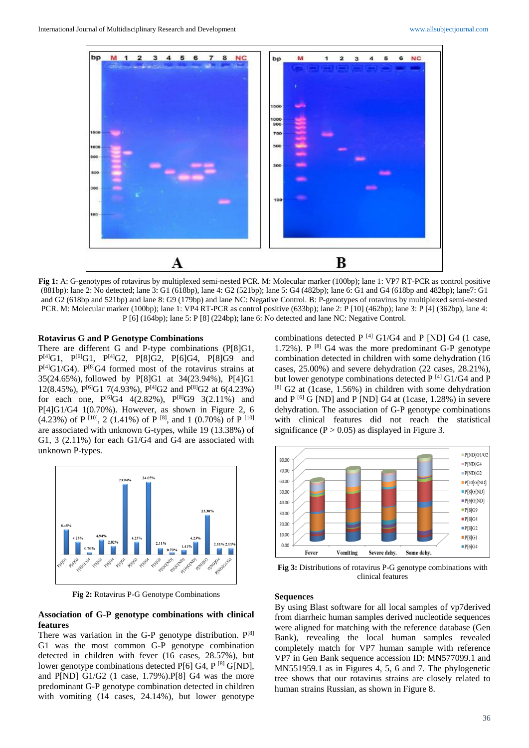

**Fig 1:** A: G-genotypes of rotavirus by multiplexed semi-nested PCR. M: Molecular marker (100bp); lane 1: VP7 RT-PCR as control positive (881bp): lane 2: No detected; lane 3: G1 (618bp), lane 4: G2 (521bp); lane 5: G4 (482bp); lane 6: G1 and G4 (618bp and 482bp); lane7: G1 and G2 (618bp and 521bp) and lane 8: G9 (179bp) and lane NC: Negative Control. B: P-genotypes of rotavirus by multiplexed semi-nested PCR. M: Molecular marker (100bp); lane 1: VP4 RT-PCR as control positive (633bp); lane 2: P [10] (462bp); lane 3: P [4] (362bp), lane 4: P [6] (164bp); lane 5: P [8] (224bp); lane 6: No detected and lane NC: Negative Control.

#### **Rotavirus G and P Genotype Combinations**

There are different G and P-type combinations (P[8]G1,  $P^{[4]}G1$ ,  $P^{[6]}G1$ ,  $P^{[4]}G2$ ,  $P[8]G2$ ,  $P[6]G4$ ,  $P[8]G9$  and P<sup>[4]</sup>G1/G4). P<sup>[8]</sup>G4 formed most of the rotavirus strains at 35(24.65%), followed by P[8]G1 at 34(23.94%), P[4]G1 12(8.45%),  $P^{[6]}G1$  7(4.93%),  $P^{[4]}G2$  and  $P^{[8]}G2$  at 6(4.23%) for each one,  $P^{[6]}G4$  4(2.82%),  $P^{[8]}G9$  3(2.11%) and P[4]G1/G4 1(0.70%). However, as shown in Figure 2, 6 (4.23%) of P  $[10]$ , 2 (1.41%) of P  $[8]$ , and 1 (0.70%) of P  $[10]$ are associated with unknown G-types, while 19 (13.38%) of G1, 3 (2.11%) for each G1/G4 and G4 are associated with unknown P-types.



**Fig 2:** Rotavirus P-G Genotype Combinations

#### **Association of G-P genotype combinations with clinical features**

There was variation in the G-P genotype distribution.  $P^{[8]}$ G1 was the most common G-P genotype combination detected in children with fever (16 cases, 28.57%), but lower genotype combinations detected  $P[6]$  G4,  $P^{[8]}$  G[ND], and P[ND] G1/G2 (1 case, 1.79%).P[8] G4 was the more predominant G-P genotype combination detected in children with vomiting (14 cases, 24.14%), but lower genotype

combinations detected P  $^{[4]}$  G1/G4 and P [ND] G4 (1 case, 1.72%). P  $^{[8]}$  G4 was the more predominant G-P genotype combination detected in children with some dehydration (16 cases, 25.00%) and severe dehydration (22 cases, 28.21%), but lower genotype combinations detected  $P^{[4]}$  G1/G4 and P  $[8]$  G2 at (1case, 1.56%) in children with some dehydration and  $P^{[6]}$  G [ND] and P [ND] G4 at (1case, 1.28%) in severe dehydration. The association of G-P genotype combinations with clinical features did not reach the statistical significance ( $P > 0.05$ ) as displayed in Figure 3.



**Fig 3:** Distributions of rotavirus P-G genotype combinations with clinical features

#### **Sequences**

By using Blast software for all local samples of vp7derived from diarrheic human samples derived nucleotide sequences were aligned for matching with the reference database (Gen Bank), revealing the local human samples revealed completely match for VP7 human sample with reference VP7 in Gen Bank sequence accession ID: MN577099.1 and MN551959.1 as in Figures 4, 5, 6 and 7. The phylogenetic tree shows that our rotavirus strains are closely related to human strains Russian, as shown in Figure 8.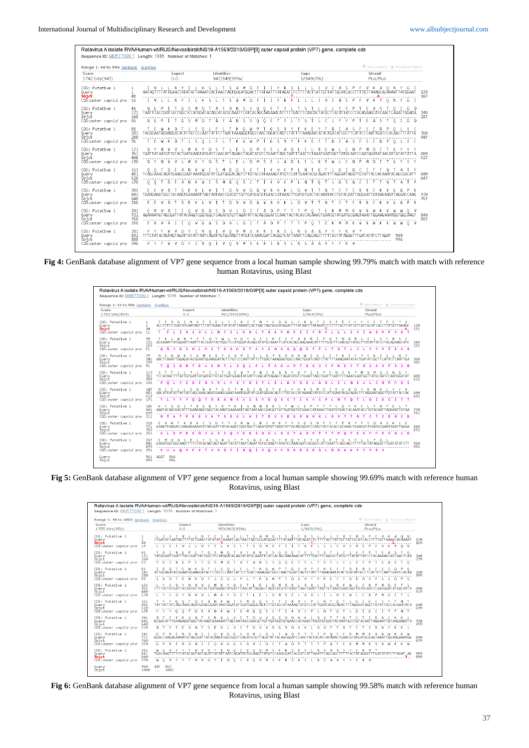| Range 1: 48 to 996 GenBank Graphics                           |                                          |                                                                                                                                   |                                                                                    |                                                                  | Next Match A Previous Match                                                                                                                                                                    |              |
|---------------------------------------------------------------|------------------------------------------|-----------------------------------------------------------------------------------------------------------------------------------|------------------------------------------------------------------------------------|------------------------------------------------------------------|------------------------------------------------------------------------------------------------------------------------------------------------------------------------------------------------|--------------|
| Score<br>1742 bits(943)                                       |                                          | Expect<br>0.0                                                                                                                     | <b>Identities</b><br>947/949(99%)                                                  | Gaps<br>0/949(0%                                                 | Strand<br>Plus/Plus                                                                                                                                                                            |              |
| CDS: Putative 1<br>Query<br>Sbjict<br>CDS:outer capsid pro    | $\mathbf{1}$<br>$\mathbf{1}$<br>48<br>16 |                                                                                                                                   | -S.<br>А<br>TTATTGAACTATATATTAAAATCACTAACTAGTGCGATGGACTTTATAATTTATAGATCT<br>М<br>D | -S<br>CTTTT AC<br>'ATTGT1<br>R                                   | $\Omega$<br>TTTGTTAAAGCACAAAATTATGGAAT<br>'ATTGCATCACCI<br>P<br>N<br>G<br>s<br>$\circ$<br>$\mathbf{I}$                                                                                         | 120<br>167   |
| CDS: Putative 1<br>Query<br>Sbjct<br>CDS: outer capsid pro    | 41<br>121<br>168<br>-56                  | TAATTTACCGATTACTGGCTCCATGGATACAGCATATGCAAATTCATCACAGCAAGAAACAT<br>N L P<br>-5<br>D.                                               | 5.<br>s<br>-0<br>0<br>$S-S$<br>$\circ$<br>- N<br>$\ddot{\text{Q}}$<br>-F<br>A<br>Α | -5                                                               | - D<br>G.<br>TTGACTTCAACGCTATGCTTATATTATCCTACAGAAGCATCAACTCAAATTGGAGA<br>0.<br>I G D                                                                                                           | 240<br>287   |
| CDS: Putative 1<br>Query<br>Sbjct<br>CDŠ:outer capsid pro     | 81<br>241<br>288<br>96                   | - 5<br>TACGGAATGGAAGGATACTCTGTCCCÄATTATTCTTGACTAAAGGGTGGCCAACTGGATCAGTCTATTTTAAAGAATATACTGATATCGC<br>$\mathsf{S}$<br>$\circ$<br>D | TGSV<br>T K G W P<br>L T K G<br>WPTG<br>$\mathbf{I}$ $\mathbf{F}$                  | к<br>−S.<br>v<br>- V<br>-F<br>к<br>F.<br>D.                      | Y C<br>$\Box$<br>Δ<br>5.<br>E.<br>5.<br>T.<br>$\overline{P}$<br>0 L<br>Y C                                                                                                                     | - 360<br>407 |
| CDS: Putative 1<br>Query<br>Sbjct<br>CDS:outer capsid pro     | 121<br>361<br>408<br>136                 | $\mathbf{v}$<br>D Y<br>-N-<br>M<br>D.                                                                                             | F<br>D M<br>F.<br>5.<br>-5                                                         | $\Box$<br>Δ                                                      | r<br>M<br>D.<br>Y Y<br>v.                                                                                                                                                                      | 480<br>527   |
| CDS: Putative 1<br>Query<br>Sbict<br>CDŠ:outer capsid pro     | 161<br>481<br>528<br>176                 | TCĀGCĀAACAGATGAAGCGAATAAATGGATATCGATGGGACĀGTCTTGTACCATAAAAGTATGTCCATTGAATACGCĀGACT<br>К<br>$0\quad 0$<br>Ð<br>W<br>Е<br>A.        | G<br>$M$ $G$<br>0.5 <sub>c</sub><br>T<br>$\mathsf{S}$                              | I K V C P<br>$\circ$<br>L N<br>T<br>T<br>G<br>$\mathbb{L}$       | ACAGOGACATT<br>G<br>$\mathbb{C}$<br>F                                                                                                                                                          | 600<br>647   |
| CDS: Putative 1<br>Query<br>Sbjct<br>CDS:outer capsid pro     | 201<br>601<br>648<br>216                 |                                                                                                                                   | -G<br>-G<br>Ð<br>M<br>v<br>Ð<br>v                                                  | n<br>Н<br>n                                                      | TGAAGAGGTGGCTACAAGTGAAAAATTAGTAATAACCGACGTTGTTGATGGTGTGAACCATAAACTTGATGTGACTACAAATACCTGTACAATTAGGAATTGTAAGAAGTTAGGACCAAG<br>Ν<br>P<br>R<br>G                                                   | 720<br>767   |
| CDS: Putative 1<br>Query<br>Sbjct<br>CDŠ:outer capsid pro     | 241<br>721<br>768<br>256                 | G<br>G<br>n<br>N<br>E.<br>V A<br>$\Omega$<br>v<br>G<br>G                                                                          | $D$ $P$<br>D.<br>Δ<br>$\varsigma$<br>D.<br>v                                       | n.<br>P<br>$\Omega$                                              | <b>V</b><br>$\cap$<br>AGAAAATGTAGCGATTATACÃAGTCGGTGGCTCAGATGTGTTAGATATTACAGCGGATCCAACTACTACACCACÃAACTGAACGTATGATGCGAGTAAATTGGAAGAAATGGCGÃAGT<br>v<br>N<br>К<br>$\mathsf{K}$<br>W W O V<br>- M. | 840<br>887   |
| CDS: Putative 1<br>Query<br>Sbjct<br>CDS:outer capsid pro 296 | 281<br>841<br>888                        | TITCTATACAGTAGTAGATTATATTAATCÄGATTGTGCÄAGTTATGTCCAAACGATCACGGTCATTAAATTCAGCAGCTT                                                  | R<br>- 5<br>-S.                                                                    | -S.<br>T V V D Y I N O I V O V M S K R S R S L N S A A F Y Y R V | TTTACTATAGGGTTTGATATATCTTAGAT<br>949<br>996                                                                                                                                                    |              |

**Fig 4:** GenBank database alignment of VP7 gene sequence from a local human sample showing 99.79% match with match with reference human Rotavirus, using Blast

|                                                                |                               | Sequence ID: MN577099.1 Length: 1016 Number of Matches: 1 |                                                                                                                                                                                         |                                                                            | V Next Match A Previous Match                                            |            |
|----------------------------------------------------------------|-------------------------------|-----------------------------------------------------------|-----------------------------------------------------------------------------------------------------------------------------------------------------------------------------------------|----------------------------------------------------------------------------|--------------------------------------------------------------------------|------------|
| Range 1: 34 to 996 GenBank Graphics<br>Score<br>1762 bits(954) |                               | Expect<br>0.0                                             | Identities<br>961/964(99%)                                                                                                                                                              | Gaps<br>1/964(0%)                                                          | Strand<br>Plus/Plus                                                      |            |
| CDS: Putative 1<br>Ouerv<br>Sbict<br>CDS:outer capsid pro      | 1<br>$\mathbf{1}$<br>34<br>11 | D.<br>S.                                                  | к<br>N<br>Y<br>c<br>TCTGATATCAATAGTTTTATTGAACTATATATTAAAATCACTAACT<br><b>FAGTGCGAT</b>                                                                                                  | D.<br>G<br>v<br>N<br>ς<br>TATAATTTATAGATC                                  | S,<br>c.<br>TAAAGC<br><b>LATTGCATCACC</b><br>TGT<br>А.<br>к<br>л         | 120<br>152 |
| CDS: Putative 1<br>Query<br>Sbjct<br>CDŠ:outer capsid pro      | 38<br>121<br>153<br>51        | M<br>۰<br>G                                               | G<br>н<br>-S<br>c<br>ACAAAATTATGGAATTAATTTACCGATTACTGGCTCCATGGATACAGCATATGCAAATTCATCACAGCAAGAAACATTT<br>s<br>$\mathbf{A}$<br>G<br>D                                                     | F<br>F<br>Ð<br>Ν<br>в<br>м<br>s<br><b>s</b><br>$\bullet$<br>$\bullet$<br>s | s<br>А<br>TGACTTCAACGCTATGCTTATAT<br>ACAGAAGCATC<br>A <sub>S</sub><br>Е. | 240<br>272 |
| CDS: Putative 1<br>Query<br>Sbict<br>CDS:outer capsid pro      | 77<br>241<br>273<br>91        | G<br>$\circ$<br>x<br>G<br>n<br>в                          | ς<br>р<br>AACTCAAATTGGAGATACGGAATGGAAGGATACTCTGTCCCAATTATTCTTGACTAAAGGGTGGCCAACTGGATCAGTCTATTTT<br>s<br>$\bullet$                                                                       | ς<br>G<br>G                                                                | AAAGAATAT<br>GATAT<br>т.<br>D                                            | 368<br>392 |
| CDS: Putative 1<br>Query<br>Sbjct<br>CDS:outer capsid pro      | 113<br>361<br>393<br>131      | P<br>$\circ$<br>c<br>D                                    | D<br>AATGTTGTACTGATGAAGTATGATTCAACATTAGAGCTAGATATGTCTGAATTAGC<br>n<br>м<br>s                                                                                                            | 5<br>н<br>в<br>D<br>s                                                      | v<br>G<br>GAATGGTTATGCÁATCCAATGGATAT<br>$D$ $I$<br>Ð<br>c                | 480<br>512 |
| CDS: Putative 1<br>Query<br>Sbict<br>CDS:outer capsid pro      | 147<br>481<br>513<br>171      | $\circ$<br>$\bullet$                                      | ۹<br>D<br>AACATTATATTATTATCAGCAAACAGATGAAGCGAATAAATGGATATCGATGGGACAGTCTTGTACCATAAAAGTATGTCCATTGAATACGCAGACTTTAGGAATAGGTTGTATTACCAC<br>G<br>D<br>E<br>м<br><b>Id</b><br>х.<br>-S<br>M.   | ς<br>ς<br>$\bullet$<br>s.<br>c<br>т<br>c.                                  | А<br>$\bullet$<br>G<br>G<br>c                                            | 600<br>632 |
| CDS: Putative 1<br>Query<br>Šbict<br>CDŠ:outer capsid pro      | 185<br>601<br>633<br>211      |                                                           | G<br>AAATACAGCGACATTTGAAGAGGTGGCTACAAGTGAAAAATTAGTAATAACCGACGTTGTTGATGGTGTGAACCATAAACTTGATGT<br>v.<br>$\mathbf{r}$<br>D<br>Е<br>т                                                       | w<br>м<br>n<br>G<br>n                                                      | ACAATTAGGAATTGTAA<br>GT<br>c.                                            | 728<br>752 |
| CDS: Putative 1<br>Query<br>Sbjct<br>CDŠ:outer capsid pro      | 218<br>721<br>753<br>251      | R                                                         | 5<br>Ð<br>ς<br>R<br>GAAGTTAGGACCAAGAGAAAATGTAGCGATTATACAAGTCGGTGGCTCAGATGTGTTAGATATTACAGCGGATCCAACTACTACACCACAAACTGAACGTATGATGCGAGTAAATTGGAA<br>v<br>G<br>D<br>v<br>$\bullet$<br>G<br>s | s<br>G<br>s<br>N<br>D.<br>D<br>Þ<br>Þ<br>Δ                                 | E<br>n<br>Δ<br>×,<br>к<br>$\bullet$<br>м<br><b>K</b><br>в<br><b>Led</b>  | 840<br>872 |
| CDS: Putative 1<br>Query<br>Šbjct<br>CDŠ:outer capsid pro      | 257<br>841<br>873<br>291      | к<br><b>M</b><br>۰                                        | ς<br>Δ<br>ς<br>R<br>ς<br>GAAATGGTGGCAAGTTTTCTATACAGTAGTAGTTATATTAATCAGATTGTGCAAGTTATGTCCAAACGATCACGGTCATTAAATTCAGCAGCTTTTTACTATAGGGTTTGATATATCTT<br>$\Omega$<br>т<br>$\Omega$           | $\leq$<br>0<br>к<br>F.<br>v<br>v<br>s                                      | s<br>F<br>*<br>G                                                         | 960<br>992 |
| Query<br>Sbjct                                                 | 961<br>993                    | 964<br><b>AGAT</b><br>996<br>1.1.1                        |                                                                                                                                                                                         |                                                                            |                                                                          |            |

**Fig 5:** GenBank database alignment of VP7 gene sequence from a local human sample showing 99.69% match with reference human Rotavirus, using Blast

| Range 1: 40 to 1002 GenBank Graphics                             |                              |                                                                                                                                      |                                                                                                                                              |                                                        | V Next Match A Previous Match                                                                                                                             |            |
|------------------------------------------------------------------|------------------------------|--------------------------------------------------------------------------------------------------------------------------------------|----------------------------------------------------------------------------------------------------------------------------------------------|--------------------------------------------------------|-----------------------------------------------------------------------------------------------------------------------------------------------------------|------------|
| Score<br>1755 bits(950)                                          |                              | Expect<br>0.0                                                                                                                        | Identities<br>959/963(99%)                                                                                                                   | Gaps<br>1/963(0%)                                      | Strand<br>Plus/Plus                                                                                                                                       |            |
| CDS: Putative 1<br>Query<br><b>Sbict</b><br>CDS:outer capsid pro | $\mathbf{1}$<br>40<br>13     | 5                                                                                                                                    | S.<br>s<br>K S<br>A<br>м<br>Ð<br>LATAT AT CAAAAT CACT AACT AGT GCGAT GGACT TTAT AAT TTAT AG AT CT<br>К<br>S<br>$\mathbf{M}$<br>D.<br>5.<br>Δ | Y.<br>$\mathbb T$<br>R S<br>Y<br>R<br><b>F</b>         | P.<br>-S<br>А<br>v<br>TATTGCATCACCTTTTGTTAAAGCACÁAAAT<br>. <b>A</b><br>$O$ N<br>Δ                                                                         | 120<br>159 |
| CDS: Putative 1<br>Query<br>Sbict<br>CDS:outer capsid pro        | 41<br>121<br>160<br>53       | G<br>G<br>TATGGAATTAATTTACCGATTACTGGCT<br>YGIN<br>P<br>G<br>-S.                                                                      | -S<br>-S<br>А<br>А<br>- N<br>'CCATGGATACAGCATATGCAAATTCATCACAGCAAGAAACATTT<br>$M$ D<br>A Y<br>A N S S O O E                                  | n.<br>n.<br>5<br>TIGACTICAACGCTATGC<br>5.              | s<br>- 0<br>ACAGAAGCATCAACTCĂA<br>P<br>A S T O                                                                                                            | 240<br>279 |
| CDS: Putative 1<br>Query<br>Sbict<br>CDS:outer capsid pro        | 81<br>241<br>280<br>93       | G<br>ATTGGAGATACGGAATGGAAGGATACT<br>I G<br>D                                                                                         | G<br>CTGTCCCAATTATTCTTGACTAAAGGGTGGCCAACTGGATCAGT<br>-5.<br>$\circ$<br>G                                                                     | G                                                      | D<br>-0<br>CTATTTTAAAGAATATACTGATATCGCTTCATTCTCAATTGATCCACAA<br>D.<br>$P$ 0                                                                               | 360<br>399 |
| CDS: Putative 1<br>Query<br>Sbict<br>CDS:outer capsid pro        | 121<br>361<br>$400 -$<br>133 | CITTATIGIGATIATAATGITGTACIGATGAAGIATGATICAACATIAGAGCIAGATATGICIGAATIAGCIGAT<br>L Y<br>-C<br>D.<br>v<br>N<br>$\vee$<br>$\vee$<br>М    | к<br>v<br>D.<br>-S<br>D<br>- E -                                                                                                             | ΤΤΑΔΤΤΟΤΑΔΑΤΩΔΑΤ<br>м<br>S.<br>F.<br>Ð<br>Δ            | AATCCAATGGATATAACATTA<br>M<br>W<br>P<br>M<br>м<br>D.                                                                                                      | 480<br>519 |
| CDS: Putative 1<br>Ouerv<br>Sbict<br>CDS:outer capsid pro        | 161<br>481<br>520<br>173     | Y Y Y<br>$\circ$<br>$\circ$<br>Ð<br>$\Delta$                                                                                         | G<br>M<br>G<br>$\Omega$<br>s<br>c                                                                                                            |                                                        | G<br>G<br>TATTATTATCAGCAAACAGATGAAGCGAATAAATGGATATCGATGGGACAGTCTTGTACCATAAAAGTATGTCCATTGAATACGCAGACTTTAGGAATAGGTTGTATTACCACAAATACA<br>$\circ$<br>G<br>N T | 600<br>639 |
| CDS: Putative 1<br>Query<br>Sbict<br>CDS:outer capsid pro        | 201<br>601<br>640<br>213     | A T<br>F.<br>E<br>$\mathcal{U}$<br>s                                                                                                 | D<br>$\vee$<br>$\vee$<br>$\mathcal{U}$<br>D.                                                                                                 | $\mathbf{v}$<br>G<br>Ν<br>Ð                            | GCGACATTTGAAGAGGTGGCTACAAGTGAAAAATTAGTAATAACCGACGTTGTTGATGGTGTGAACCATAAACTTGATGTGACTACAAATACCTGTACAATTAGGAATTGTAAGAAGTTA<br>N<br>к<br>K L<br>c.           | 720<br>759 |
| CDS: Putative 1<br>Query<br>Sbict<br>CDS:outer capsid pro        | 241<br>721<br>760<br>253     | $\Omega$<br>G P<br>R<br>N<br>$\Omega$                                                                                                | v<br>G<br>G.<br>$\mathbf{v}$<br>G<br>s<br>D<br>G                                                                                             | O                                                      | GGACCAAGAGAAAATGTAGCGATTATACÃAGTCGGTGGCTCAGATGTGTTAGATATTACAGCGGATCCAACTACTACACCACÃAACTGAACGTATGATGCGAGTAATTGGAAGAAATGG<br>N<br>K K W<br>$\mathbf{w}$     | 840<br>879 |
| CDS: Putative 1<br>Query<br><b>Sbjct</b><br>CDS:outer capsid pro | 281<br>841<br>880<br>293     | $\Omega$<br>TGGCÄAGTTTTCTATACAGTAGTAGATTATATTAATCÄGATTGTGCÄAGTTATGTCCAAACGATCACGGTCATTAAATTCAGCAGCT<br>0 V<br>v.<br>v<br>$\Box$<br>w | $\Omega$<br>$\Omega$<br>v<br>v<br>s<br>O I V O V M S<br>N                                                                                    | -S<br>А<br>R<br>N<br>-S.<br>к<br>R S<br>s<br>$\Lambda$ | v<br>TACTATAGGGTTTGATATATCTTAGAT-AG<br>aTaa<br>Y<br>Y<br>R V<br>$\mathbb{A}$<br>- F                                                                       | 959<br>999 |

**Fig 6:** GenBank database alignment of VP7 gene sequence from local a human sample showing 99.58% match with reference human Rotavirus, using Blast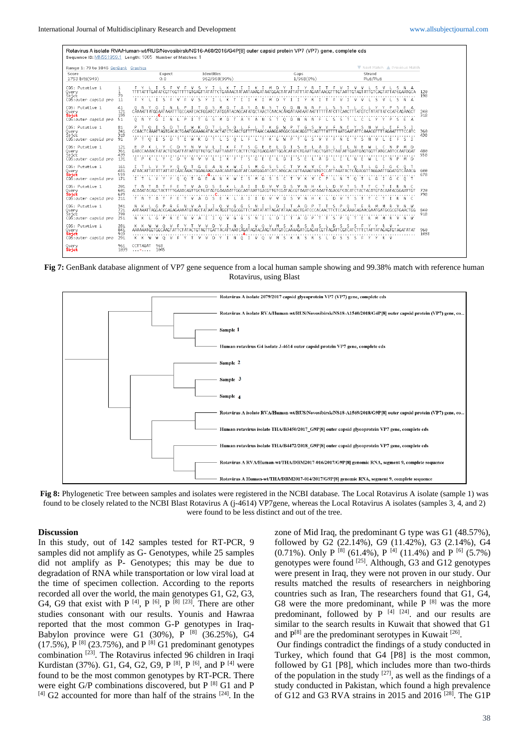|                                                             |                          | Rotavirus A isolate RVA/Human-wt/RUS/Novosibirsk/NS16-A60/2016/G4P[8] outer capsid protein VP7 (VP7) gene, complete cds<br>Sequence ID: MN551959.1 Length: 1065 Number of Matches: 1 |                                                                                 |                                                                                                             |                                                                                                                                                                                               |             |
|-------------------------------------------------------------|--------------------------|--------------------------------------------------------------------------------------------------------------------------------------------------------------------------------------|---------------------------------------------------------------------------------|-------------------------------------------------------------------------------------------------------------|-----------------------------------------------------------------------------------------------------------------------------------------------------------------------------------------------|-------------|
|                                                             |                          |                                                                                                                                                                                      |                                                                                 |                                                                                                             |                                                                                                                                                                                               |             |
| Range 1: 79 to 1045 GenBank Graphics                        |                          |                                                                                                                                                                                      |                                                                                 |                                                                                                             | Next Match A Previous Match                                                                                                                                                                   |             |
| Score<br>1753 bits(949)                                     |                          | Expect<br>0,0                                                                                                                                                                        | Identities<br>962/968(99%)                                                      | Gaps<br>1/968(0%)                                                                                           | Strand<br>Plus/Plus                                                                                                                                                                           |             |
| CDS: Putative 1<br>Query<br>Sbjct<br>CDS:outer capsid pro   | $\mathbf{1}$<br>79<br>11 | - 5<br>$\sim$ 5<br>M<br>-5.<br>5.<br>-F.<br>$\mathbf{v}$                                                                                                                             | YILKT<br>IIK<br>. т.<br>к<br>к.                                                 | m<br>D.<br>YIIYRI<br>M D Y<br>R                                                                             | S<br>$\vee$<br>$\mathbf{I}$<br>$\sim$<br>M<br>$\mathcal{M}$<br>v<br>5<br>5.<br>N A                                                                                                            | 120<br>198  |
| CDS: Putative 1<br>Query<br>Sbict<br>CDS: outer capsid pro  | 41<br>121<br>199<br>51   | CAAAATT ATGGAAT AAATTTGCCAATCACTGGATCT ATGGAT ACAGCAT ATGCT AACTCAACACAAGAT AAT AATT<br>G.<br>$O$ N<br>-Y<br>G<br>-N<br>P                                                            | s<br>M D T A Y A N S T O D N<br>-S<br>G                                         | -S.<br>s<br>- N<br>-N<br>5                                                                                  | -S.<br>TTATG1<br>5<br>s<br>E<br>A                                                                                                                                                             | 240<br>318  |
| CDS: Putative 1<br>Query<br>Šbict<br>CDS:outer capsid pro   | 81<br>241<br>319<br>91   | CCAACTCÄAATTAGTGACACTGAATGGAAAGATACACTATCTCÄACTGTTTTTAACCAAAGGATGGCCGACAGGTTCAGTTTAT<br>P T O I S D<br>F.<br>W                                                                       | - 5<br>K D<br>$S = 0$<br>- I F<br>L.                                            | K G<br>G<br>W P<br>T K G<br>- G<br>$\leq$<br>v                                                              | M.<br>F<br>-N<br>-5<br>v<br>F<br>F.<br>$S$ I                                                                                                                                                  | 360<br>438  |
| CDS: Putative 1<br>Query<br>Šbjct<br>CDS:outer capsid pro   | 121<br>361<br>439<br>131 | E P<br>$\mathbb{K}$<br><sup>V</sup><br>-C.<br>Ν<br>Ð                                                                                                                                 | v<br>- V<br>ĸ<br>F.<br>S.<br>-G                                                 | Ð<br>s<br>А                                                                                                 | GAACCAAAACTATACTGTGATTATAATGTTGTGCTAATTAAATTCACTTCTGGTGAGGAATTGGACATATCTGAATTAGCTGATCTAATATTGAATGAGTGGTTATGCAATCCAATGGAT<br>w<br>-C.<br>-N<br><b>P</b><br>M D                                 | 480<br>558  |
| CDS: Putative 1<br>Query<br>Sbjict<br>CDS: outer capsid pro | 161<br>481<br>559<br>171 | G<br>0 0 T<br>- Y -<br>-Y.<br>G<br>$I$ T                                                                                                                                             | s<br>M<br>G<br>G.<br>E<br>KWIS<br><b>M</b><br>A<br>-N-<br>- G                   | s<br>-S<br>-C<br>r.<br>$\leq$<br>$\mathsf{K}$<br>v<br>C.<br>∫s.<br>- C<br>T.<br>v<br>P<br>$\mathbf{1}$      | G<br>G<br>ATAACATTATATTATTATCÄACÄAACTGGAGAAGCAAACAAATGGATATCAATGGGATCATCACCGTTAAAGTGTGCCATTAAATACTCÄGACGTTAGGAATTGGATGTCÄAACG<br>-N<br>T O T<br>$\Box$ G<br>$T$ G<br>C O T                    | 600<br>678  |
| CDS: Putative 1<br>Query<br>Sbict<br>CDS:outer capsid pro   | 201<br>601<br>679<br>211 | ACAAATACAGCTACTTTTGAAACAGTTGCT                                                                                                                                                       | D.<br>$\varsigma$<br>E<br>к<br>A I I<br>D.<br>Δ                                 | D<br>FGAT AGTGAAAAATTGGCAATAATTGACGTTGTCGATAGCGTAAATCATAAATTAGACGTCACAT<br>V V D S V<br>H<br>- N<br>к<br>D. | ACAATACGGAATTGT<br>v<br>$\leq$<br>$\mathbb{R}$                                                                                                                                                | 720<br>798  |
| CDS: Putative 1<br>Query<br>Sbict<br>CDS:outer capsid pro   | 241<br>721<br>799<br>251 | v<br>A<br>N K<br>-G                                                                                                                                                                  | 5<br>-N<br>$\Omega$<br>-M<br>G<br>G<br>A I<br>$I \cup V$ $G$<br>- G<br>M.<br>S. | D.<br>D<br>P<br>s<br>А<br>D.<br><b>P</b><br>5.<br>Ð<br>Δ                                                    | N W<br>P<br>Ε<br>- 0<br>AATAAATTAGGACCGAGAGAAAATGTAGCTATAATACAGGTTGGCGGTTCTAATATATAGATATAACAGCTGATCCCACAACTTCTCCACAAACAGGAACGGAATGATGCGCGTGAACTGG<br>P<br>$\cap$<br>R<br>V N W                | 840<br>918  |
| CDS: Putative 1<br>Query<br>Sbjet<br>CDS:outer capsid pro   | 281<br>841<br>919<br>291 | K K W W O<br>- V<br>K K W W O V F Y T                                                                                                                                                | NO IVOV<br>D Y I N O I V O V M S K R S R<br>V V                                 | - 5<br>D<br>- M<br>KR SR S<br>D.<br>$\leq$                                                                  | -S<br>- 5<br>- 5<br>AAAAAATGGTGGCĂAGTATTCTATACTGTAGTTGATTACATTAATCĂGATAGTAGÄGTAATGTCCAAAAGATCGAGATCGTTAGATTCGTCATCTTTCTATTATAGAGTGTAGATATAT<br>$\sim$<br>$\leq$<br>S<br>F.<br>Y.<br>Y.<br>R V | 960<br>1038 |
| Query<br><b>Sbrict</b>                                      | 961<br>1039              | 968<br><b>CCTTAGAT</b><br>$ -  1045$                                                                                                                                                 |                                                                                 |                                                                                                             |                                                                                                                                                                                               |             |

**Fig 7:** GenBank database alignment of VP7 gene sequence from a local human sample showing and 99.38% match with reference human Rotavirus, using Blast



**Fig 8:** Phylogenetic Tree between samples and isolates were registered in the NCBI database. The Local Rotavirus A isolate (sample 1) was found to be closely related to the NCBI Blast Rotavirus A (j-4614) VP7gene, whereas the Local Rotavirus A isolates (samples 3, 4, and 2) were found to be less distinct and out of the tree.

#### **Discussion**

In this study, out of 142 samples tested for RT-PCR, 9 samples did not amplify as G- Genotypes, while 25 samples did not amplify as P- Genotypes; this may be due to degradation of RNA while transportation or low viral load at the time of specimen collection. According to the reports recorded all over the world, the main genotypes G1, G2, G3, G4, G9 that exist with P  $^{[4]}$ , P  $^{[6]}$ , P  $^{[8]}$   $^{[23]}$ . There are other studies consonant with our results. Younis and Hawraa reported that the most common G-P genotypes in Iraq-Babylon province were G1 (30%),  $\overline{P}^{[8]}$  (36.25%), G4  $(17.5\%)$ ,  $\bar{P}^{[8]}(23.75\%)$ , and  $P^{[8]}(G1)$  predominant genotypes combination [23]. The Rotavirus infected 96 children in Iraqi Kurdistan (37%). G1, G4, G2, G9, P  $^{[8]}$ , P  $^{[6]}$ , and P  $^{[4]}$  were found to be the most common genotypes by RT-PCR. There were eight G/P combinations discovered, but P [8] G1 and P  $[4]$  G2 accounted for more than half of the strains  $[24]$ . In the

zone of Mid Iraq, the predominant G type was G1 (48.57%), followed by G2 (22.14%), G9 (11.42%), G3 (2.14%), G4 (0.71%). Only P  $^{[8]}$  (61.4%), P  $^{[4]}$  (11.4%) and P  $^{[6]}$  (5.7%) genotypes were found [25]. Although, G3 and G12 genotypes were present in Iraq, they were not proven in our study. Our results matched the results of researchers in neighboring countries such as Iran, The researchers found that G1, G4, G8 were the more predominant, while  $P^{[8]}$  was the more predominant, followed by  $P^{[4]}$  [24]. and our results are similar to the search results in Kuwait that showed that G1 and  $P^{[8]}$  are the predominant serotypes in Kuwait  $^{[26]}$ .

Our findings contradict the findings of a study conducted in Turkey, which found that G4 [P8] is the most common, followed by G1 [P8], which includes more than two-thirds of the population in the study  $[27]$ , as well as the findings of a study conducted in Pakistan, which found a high prevalence of G12 and G3 RVA strains in 2015 and 2016 [28]. The G1P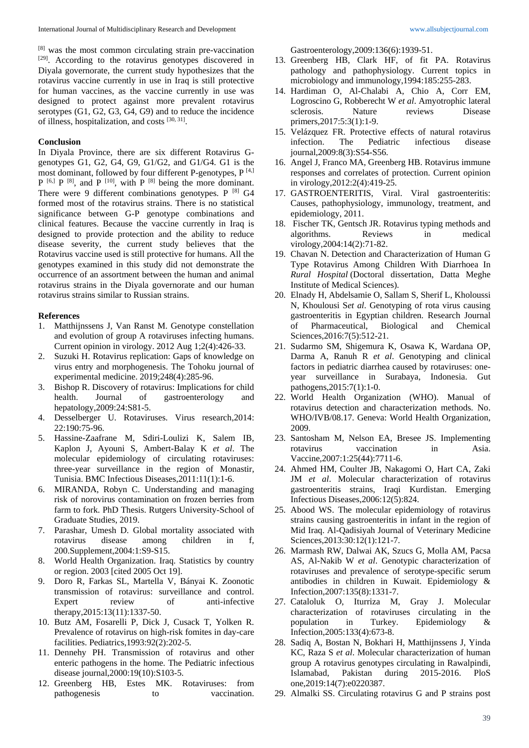[8] was the most common circulating strain pre-vaccination [29]. According to the rotavirus genotypes discovered in Diyala governorate, the current study hypothesizes that the rotavirus vaccine currently in use in Iraq is still protective for human vaccines, as the vaccine currently in use was designed to protect against more prevalent rotavirus serotypes (G1, G2, G3, G4, G9) and to reduce the incidence of illness, hospitalization, and costs [30, 31].

### **Conclusion**

In Diyala Province, there are six different Rotavirus Ggenotypes G1, G2, G4, G9, G1/G2, and G1/G4. G1 is the most dominant, followed by four different P-genotypes, P<sup>[4,]</sup>  $P^{[6,]}$   $P^{[8]}$ , and  $P^{[10]}$ , with  $P^{[8]}$  being the more dominant. There were 9 different combinations genotypes.  $P^{[8]}$  G4 formed most of the rotavirus strains. There is no statistical significance between G-P genotype combinations and clinical features. Because the vaccine currently in Iraq is designed to provide protection and the ability to reduce disease severity, the current study believes that the Rotavirus vaccine used is still protective for humans. All the genotypes examined in this study did not demonstrate the occurrence of an assortment between the human and animal rotavirus strains in the Diyala governorate and our human rotavirus strains similar to Russian strains.

### **References**

- 1. Matthijnssens J, Van Ranst M. Genotype constellation and evolution of group A rotaviruses infecting humans. Current opinion in virology. 2012 Aug 1;2(4):426-33.
- 2. Suzuki H. Rotavirus replication: Gaps of knowledge on virus entry and morphogenesis. The Tohoku journal of experimental medicine. 2019;248(4):285-96.
- 3. Bishop R. Discovery of rotavirus: Implications for child health. Journal of gastroenterology and hepatology,2009:24:S81-5.
- 4. Desselberger U. Rotaviruses. Virus research,2014: 22:190:75-96.
- 5. Hassine-Zaafrane M, Sdiri-Loulizi K, Salem IB, Kaplon J, Ayouni S, Ambert-Balay K *et al*. The molecular epidemiology of circulating rotaviruses: three-year surveillance in the region of Monastir, Tunisia. BMC Infectious Diseases,2011:11(1):1-6.
- 6. MIRANDA, Robyn C. Understanding and managing risk of norovirus contamination on frozen berries from farm to fork. PhD Thesis. Rutgers University-School of Graduate Studies, 2019.
- 7. Parashar, Umesh D. Global mortality associated with rotavirus disease among children in f, 200.Supplement,2004:1:S9-S15.
- 8. World Health Organization. Iraq. Statistics by country or region. 2003 [cited 2005 Oct 19].
- 9. Doro R, Farkas SL, Martella V, Bányai K. Zoonotic transmission of rotavirus: surveillance and control. Expert review of anti-infective therapy,2015:13(11):1337-50.
- 10. Butz AM, Fosarelli P, Dick J, Cusack T, Yolken R. Prevalence of rotavirus on high-risk fomites in day-care facilities. Pediatrics,1993:92(2):202-5.
- 11. Dennehy PH. Transmission of rotavirus and other enteric pathogens in the home. The Pediatric infectious disease journal,2000:19(10):S103-5.
- 12. Greenberg HB, Estes MK. Rotaviruses: from pathogenesis to vaccination.

Gastroenterology,2009:136(6):1939-51.

- 13. Greenberg HB, Clark HF, of fit PA. Rotavirus pathology and pathophysiology. Current topics in microbiology and immunology,1994:185:255-283.
- 14. Hardiman O, Al-Chalabi A, Chio A, Corr EM, Logroscino G, Robberecht W *et al*. Amyotrophic lateral sclerosis. Nature reviews Disease primers,2017:5:3(1):1-9.
- 15. Velázquez FR. Protective effects of natural rotavirus infection. The Pediatric infectious disease journal,2009:8(3):S54-S56.
- 16. Angel J, Franco MA, Greenberg HB. Rotavirus immune responses and correlates of protection. Current opinion in virology,2012:2(4):419-25.
- 17. GASTROENTERITIS, Viral. Viral gastroenteritis: Causes, pathophysiology, immunology, treatment, and epidemiology, 2011.
- 18. Fischer TK, Gentsch JR. Rotavirus typing methods and algorithms. Reviews in medical virology,2004:14(2):71-82.
- 19. Chavan N. Detection and Characterization of Human G Type Rotavirus Among Children With Diarrhoea In *Rural Hospital* (Doctoral dissertation, Datta Meghe Institute of Medical Sciences).
- 20. Elnady H, Abdelsamie O, Sallam S, Sherif L, Kholoussi N, Khoulousi S*et al*. Genotyping of rota virus causing gastroenteritis in Egyptian children. Research Journal of Pharmaceutical, Biological and Chemical Sciences,2016:7(5):512-21.
- 21. Sudarmo SM, Shigemura K, Osawa K, Wardana OP, Darma A, Ranuh R *et al*. Genotyping and clinical factors in pediatric diarrhea caused by rotaviruses: oneyear surveillance in Surabaya, Indonesia. Gut pathogens,2015:7(1):1-0.
- 22. World Health Organization (WHO). Manual of rotavirus detection and characterization methods. No. WHO/IVB/08.17. Geneva: World Health Organization, 2009.
- 23. Santosham M, Nelson EA, Bresee JS. Implementing rotavirus vaccination in Asia. Vaccine,2007:1:25(44):7711-6.
- 24. Ahmed HM, Coulter JB, Nakagomi O, Hart CA, Zaki JM *et al*. Molecular characterization of rotavirus gastroenteritis strains, Iraqi Kurdistan. Emerging Infectious Diseases,2006:12(5):824.
- 25. Abood WS. The molecular epidemiology of rotavirus strains causing gastroenteritis in infant in the region of Mid Iraq. Al-Qadisiyah Journal of Veterinary Medicine Sciences,2013:30:12(1):121-7.
- 26. Marmash RW, Dalwai AK, Szucs G, Molla AM, Pacsa AS, Al-Nakib W *et al*. Genotypic characterization of rotaviruses and prevalence of serotype-specific serum antibodies in children in Kuwait. Epidemiology & Infection,2007:135(8):1331-7.
- 27. Cataloluk O, Iturriza M, Gray J. Molecular characterization of rotaviruses circulating in the population in Turkey. Epidemiology & Infection,2005:133(4):673-8.
- 28. Sadiq A, Bostan N, Bokhari H, Matthijnssens J, Yinda KC, Raza S *et al*. Molecular characterization of human group A rotavirus genotypes circulating in Rawalpindi, Islamabad, Pakistan during 2015-2016. PloS one,2019:14(7):e0220387.
- 29. Almalki SS. Circulating rotavirus G and P strains post